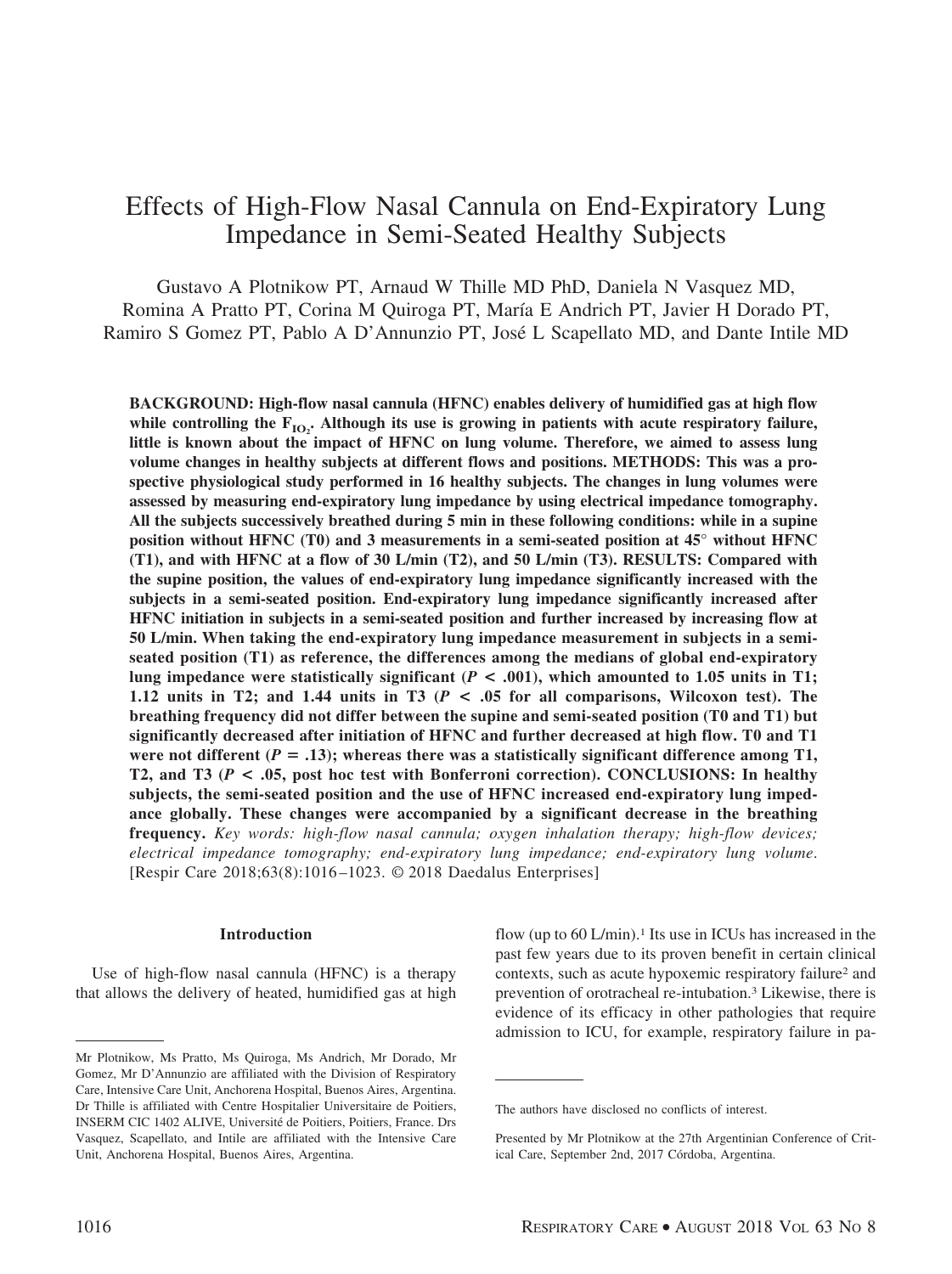# Effects of High-Flow Nasal Cannula on End-Expiratory Lung Impedance in Semi-Seated Healthy Subjects

Gustavo A Plotnikow PT, Arnaud W Thille MD PhD, Daniela N Vasquez MD, Romina A Pratto PT, Corina M Quiroga PT, María E Andrich PT, Javier H Dorado PT, Ramiro S Gomez PT, Pablo A D'Annunzio PT, Jose´ L Scapellato MD, and Dante Intile MD

**BACKGROUND: High-flow nasal cannula (HFNC) enables delivery of humidified gas at high flow** while controlling the  $F_{IO_2}$ . Although its use is growing in patients with acute respiratory failure, **little is known about the impact of HFNC on lung volume. Therefore, we aimed to assess lung volume changes in healthy subjects at different flows and positions. METHODS: This was a prospective physiological study performed in 16 healthy subjects. The changes in lung volumes were assessed by measuring end-expiratory lung impedance by using electrical impedance tomography. All the subjects successively breathed during 5 min in these following conditions: while in a supine position without HFNC (T0) and 3 measurements in a semi-seated position at 45° without HFNC (T1), and with HFNC at a flow of 30 L/min (T2), and 50 L/min (T3). RESULTS: Compared with the supine position, the values of end-expiratory lung impedance significantly increased with the subjects in a semi-seated position. End-expiratory lung impedance significantly increased after HFNC initiation in subjects in a semi-seated position and further increased by increasing flow at 50 L/min. When taking the end-expiratory lung impedance measurement in subjects in a semiseated position (T1) as reference, the differences among the medians of global end-expiratory lung impedance were statistically significant (** $P < .001$ **), which amounted to 1.05 units in T1; 1.12 units in T2; and 1.44 units in T3 (***P* **< .05 for all comparisons, Wilcoxon test). The breathing frequency did not differ between the supine and semi-seated position (T0 and T1) but significantly decreased after initiation of HFNC and further decreased at high flow. T0 and T1** were not different  $(P = .13)$ ; whereas there was a statistically significant difference among T1, **T2, and T3 (***P* **< .05, post hoc test with Bonferroni correction). CONCLUSIONS: In healthy subjects, the semi-seated position and the use of HFNC increased end-expiratory lung impedance globally. These changes were accompanied by a significant decrease in the breathing frequency.** *Key words: high-flow nasal cannula; oxygen inhalation therapy; high-flow devices; electrical impedance tomography; end-expiratory lung impedance; end-expiratory lung volume*. [Respir Care 2018;63(8):1016 –1023. © 2018 Daedalus Enterprises]

## **Introduction**

Use of high-flow nasal cannula (HFNC) is a therapy that allows the delivery of heated, humidified gas at high flow (up to 60 L/min).<sup>1</sup> Its use in ICUs has increased in the past few years due to its proven benefit in certain clinical contexts, such as acute hypoxemic respiratory failure2 and prevention of orotracheal re-intubation.3 Likewise, there is evidence of its efficacy in other pathologies that require admission to ICU, for example, respiratory failure in pa-

Mr Plotnikow, Ms Pratto, Ms Quiroga, Ms Andrich, Mr Dorado, Mr Gomez, Mr D'Annunzio are affiliated with the Division of Respiratory Care, Intensive Care Unit, Anchorena Hospital, Buenos Aires, Argentina. Dr Thille is affiliated with Centre Hospitalier Universitaire de Poitiers, INSERM CIC 1402 ALIVE, Université de Poitiers, Poitiers, France. Drs Vasquez, Scapellato, and Intile are affiliated with the Intensive Care Unit, Anchorena Hospital, Buenos Aires, Argentina.

The authors have disclosed no conflicts of interest.

Presented by Mr Plotnikow at the 27th Argentinian Conference of Critical Care, September 2nd, 2017 Córdoba, Argentina.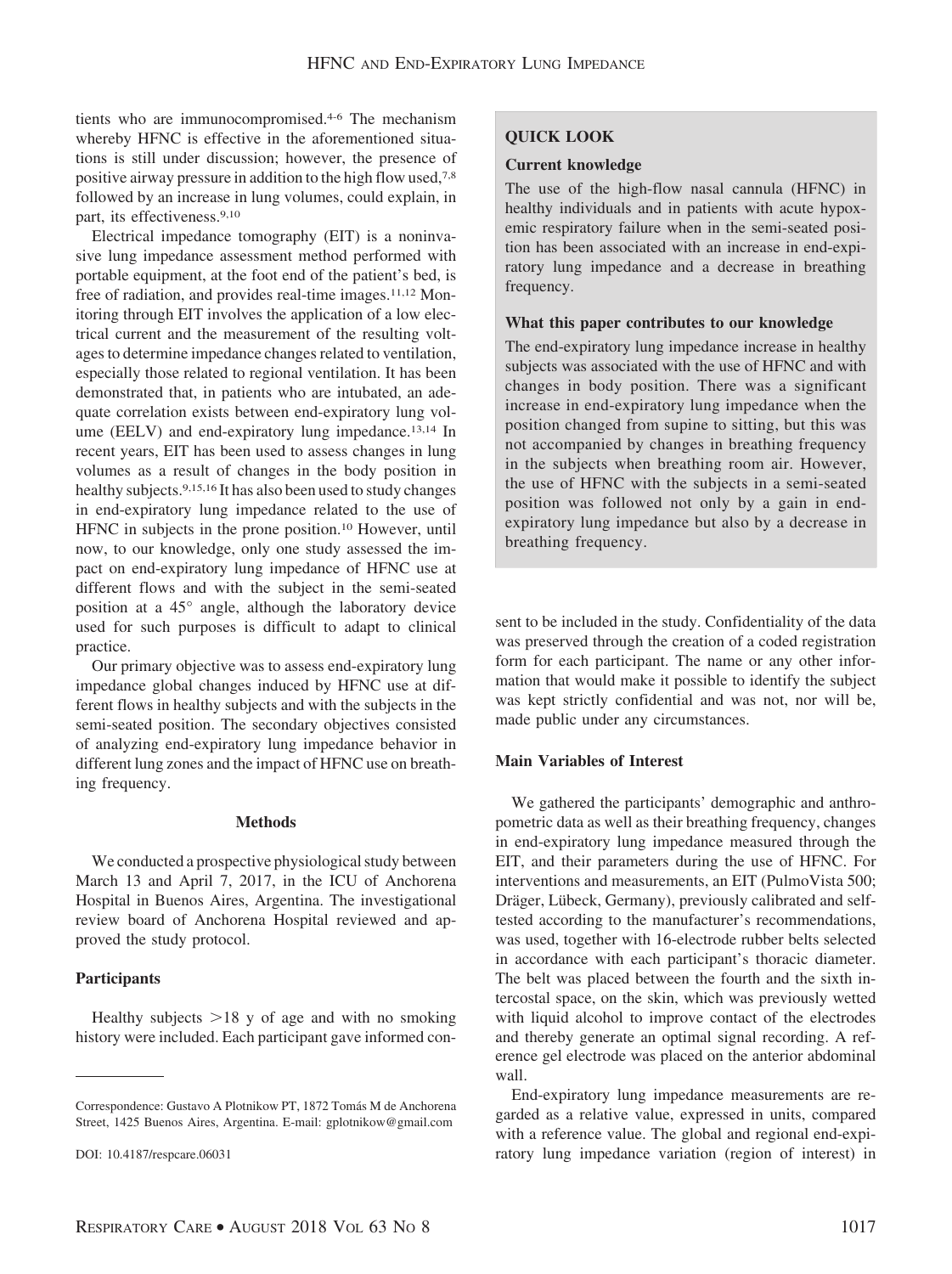tients who are immunocompromised.4-6 The mechanism whereby HFNC is effective in the aforementioned situations is still under discussion; however, the presence of positive airway pressure in addition to the high flow used,7,8 followed by an increase in lung volumes, could explain, in part, its effectiveness.9,10

Electrical impedance tomography (EIT) is a noninvasive lung impedance assessment method performed with portable equipment, at the foot end of the patient's bed, is free of radiation, and provides real-time images.11,12 Monitoring through EIT involves the application of a low electrical current and the measurement of the resulting voltages to determine impedance changes related to ventilation, especially those related to regional ventilation. It has been demonstrated that, in patients who are intubated, an adequate correlation exists between end-expiratory lung volume (EELV) and end-expiratory lung impedance.<sup>13,14</sup> In recent years, EIT has been used to assess changes in lung volumes as a result of changes in the body position in healthy subjects.9,15,16 It has also been used to study changes in end-expiratory lung impedance related to the use of HFNC in subjects in the prone position.10 However, until now, to our knowledge, only one study assessed the impact on end-expiratory lung impedance of HFNC use at different flows and with the subject in the semi-seated position at a 45° angle, although the laboratory device used for such purposes is difficult to adapt to clinical practice.

Our primary objective was to assess end-expiratory lung impedance global changes induced by HFNC use at different flows in healthy subjects and with the subjects in the semi-seated position. The secondary objectives consisted of analyzing end-expiratory lung impedance behavior in different lung zones and the impact of HFNC use on breathing frequency.

# **Methods**

We conducted a prospective physiological study between March 13 and April 7, 2017, in the ICU of Anchorena Hospital in Buenos Aires, Argentina. The investigational review board of Anchorena Hospital reviewed and approved the study protocol.

# **Participants**

Healthy subjects  $>18$  y of age and with no smoking history were included. Each participant gave informed con-

# **QUICK LOOK**

## **Current knowledge**

The use of the high-flow nasal cannula (HFNC) in healthy individuals and in patients with acute hypoxemic respiratory failure when in the semi-seated position has been associated with an increase in end-expiratory lung impedance and a decrease in breathing frequency.

# **What this paper contributes to our knowledge**

The end-expiratory lung impedance increase in healthy subjects was associated with the use of HFNC and with changes in body position. There was a significant increase in end-expiratory lung impedance when the position changed from supine to sitting, but this was not accompanied by changes in breathing frequency in the subjects when breathing room air. However, the use of HFNC with the subjects in a semi-seated position was followed not only by a gain in endexpiratory lung impedance but also by a decrease in breathing frequency.

sent to be included in the study. Confidentiality of the data was preserved through the creation of a coded registration form for each participant. The name or any other information that would make it possible to identify the subject was kept strictly confidential and was not, nor will be, made public under any circumstances.

# **Main Variables of Interest**

We gathered the participants' demographic and anthropometric data as well as their breathing frequency, changes in end-expiratory lung impedance measured through the EIT, and their parameters during the use of HFNC. For interventions and measurements, an EIT (PulmoVista 500; Dräger, Lübeck, Germany), previously calibrated and selftested according to the manufacturer's recommendations, was used, together with 16-electrode rubber belts selected in accordance with each participant's thoracic diameter. The belt was placed between the fourth and the sixth intercostal space, on the skin, which was previously wetted with liquid alcohol to improve contact of the electrodes and thereby generate an optimal signal recording. A reference gel electrode was placed on the anterior abdominal wall.

End-expiratory lung impedance measurements are regarded as a relative value, expressed in units, compared with a reference value. The global and regional end-expiratory lung impedance variation (region of interest) in

Correspondence: Gustavo A Plotnikow PT, 1872 Tomás M de Anchorena Street, 1425 Buenos Aires, Argentina. E-mail: gplotnikow@gmail.com

DOI: 10.4187/respcare.06031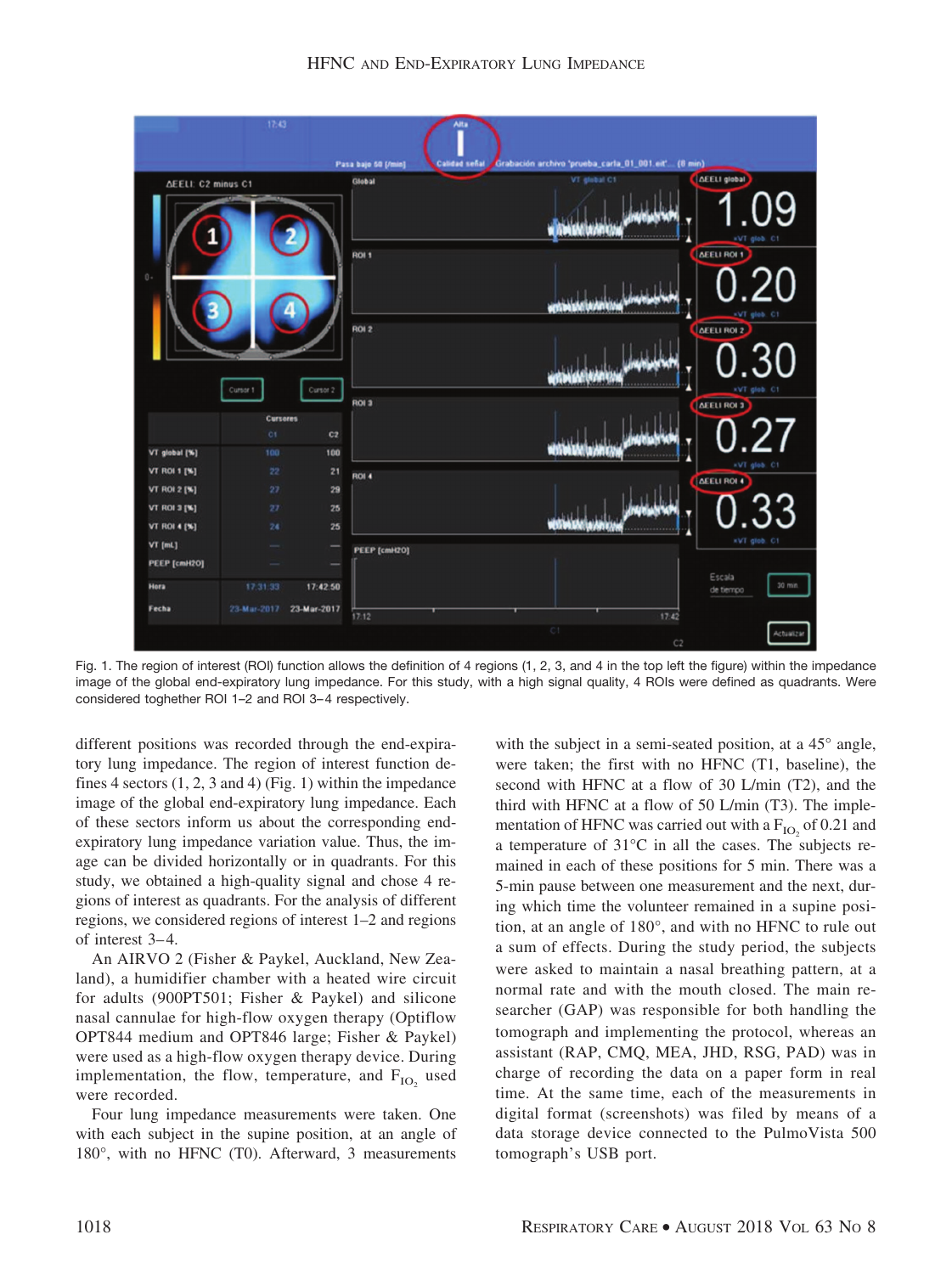

Fig. 1. The region of interest (ROI) function allows the definition of 4 regions (1, 2, 3, and 4 in the top left the figure) within the impedance image of the global end-expiratory lung impedance. For this study, with a high signal quality, 4 ROIs were defined as quadrants. Were considered toghether ROI 1–2 and ROI 3– 4 respectively.

different positions was recorded through the end-expiratory lung impedance. The region of interest function defines 4 sectors  $(1, 2, 3 \text{ and } 4)$  (Fig. 1) within the impedance image of the global end-expiratory lung impedance. Each of these sectors inform us about the corresponding endexpiratory lung impedance variation value. Thus, the image can be divided horizontally or in quadrants. For this study, we obtained a high-quality signal and chose 4 regions of interest as quadrants. For the analysis of different regions, we considered regions of interest 1–2 and regions of interest 3– 4.

An AIRVO 2 (Fisher & Paykel, Auckland, New Zealand), a humidifier chamber with a heated wire circuit for adults (900PT501; Fisher & Paykel) and silicone nasal cannulae for high-flow oxygen therapy (Optiflow OPT844 medium and OPT846 large; Fisher & Paykel) were used as a high-flow oxygen therapy device. During implementation, the flow, temperature, and  $F_{IO}$  used were recorded.

Four lung impedance measurements were taken. One with each subject in the supine position, at an angle of 180°, with no HFNC (T0). Afterward, 3 measurements

with the subject in a semi-seated position, at a 45° angle, were taken; the first with no HFNC (T1, baseline), the second with HFNC at a flow of 30 L/min (T2), and the third with HFNC at a flow of 50 L/min (T3). The implementation of HFNC was carried out with a  $F_{IO}$  of 0.21 and a temperature of 31°C in all the cases. The subjects remained in each of these positions for 5 min. There was a 5-min pause between one measurement and the next, during which time the volunteer remained in a supine position, at an angle of 180°, and with no HFNC to rule out a sum of effects. During the study period, the subjects were asked to maintain a nasal breathing pattern, at a normal rate and with the mouth closed. The main researcher (GAP) was responsible for both handling the tomograph and implementing the protocol, whereas an assistant (RAP, CMQ, MEA, JHD, RSG, PAD) was in charge of recording the data on a paper form in real time. At the same time, each of the measurements in digital format (screenshots) was filed by means of a data storage device connected to the PulmoVista 500 tomograph's USB port.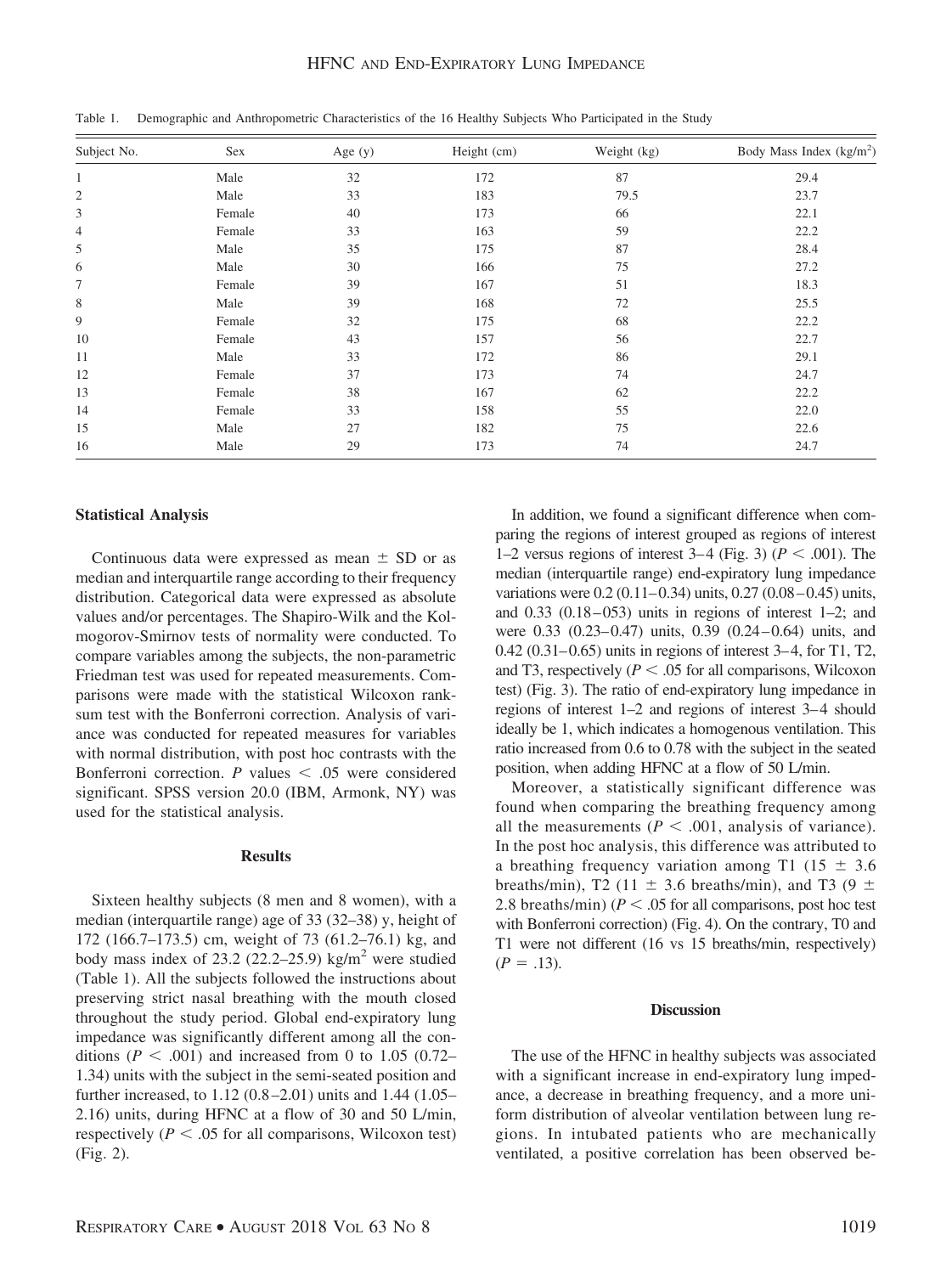# HFNC AND END-EXPIRATORY LUNG IMPEDANCE

| Subject No.    | Sex    | Age $(y)$ | Height (cm) | Weight (kg) | Body Mass Index $(kg/m2)$ |
|----------------|--------|-----------|-------------|-------------|---------------------------|
| $\mathbf{1}$   | Male   | 32        | 172         | 87          | 29.4                      |
| $\mathfrak{2}$ | Male   | 33        | 183         | 79.5        | 23.7                      |
| 3              | Female | 40        | 173         | 66          | 22.1                      |
| 4              | Female | 33        | 163         | 59          | 22.2                      |
| 5              | Male   | 35        | 175         | 87          | 28.4                      |
| 6              | Male   | 30        | 166         | 75          | 27.2                      |
| 7              | Female | 39        | 167         | 51          | 18.3                      |
| 8              | Male   | 39        | 168         | 72          | 25.5                      |
| 9              | Female | 32        | 175         | 68          | 22.2                      |
| 10             | Female | 43        | 157         | 56          | 22.7                      |
| 11             | Male   | 33        | 172         | 86          | 29.1                      |
| 12             | Female | 37        | 173         | 74          | 24.7                      |
| 13             | Female | 38        | 167         | 62          | 22.2                      |
| 14             | Female | 33        | 158         | 55          | 22.0                      |
| 15             | Male   | 27        | 182         | 75          | 22.6                      |
| 16             | Male   | 29        | 173         | 74          | 24.7                      |

Table 1. Demographic and Anthropometric Characteristics of the 16 Healthy Subjects Who Participated in the Study

## **Statistical Analysis**

Continuous data were expressed as mean  $\pm$  SD or as median and interquartile range according to their frequency distribution. Categorical data were expressed as absolute values and/or percentages. The Shapiro-Wilk and the Kolmogorov-Smirnov tests of normality were conducted. To compare variables among the subjects, the non-parametric Friedman test was used for repeated measurements. Comparisons were made with the statistical Wilcoxon ranksum test with the Bonferroni correction. Analysis of variance was conducted for repeated measures for variables with normal distribution, with post hoc contrasts with the Bonferroni correction.  $P$  values  $\lt$  .05 were considered significant. SPSS version 20.0 (IBM, Armonk, NY) was used for the statistical analysis.

#### **Results**

Sixteen healthy subjects (8 men and 8 women), with a median (interquartile range) age of 33 (32–38) y, height of 172 (166.7–173.5) cm, weight of 73 (61.2–76.1) kg, and body mass index of 23.2 (22.2–25.9) kg/m<sup>2</sup> were studied (Table 1). All the subjects followed the instructions about preserving strict nasal breathing with the mouth closed throughout the study period. Global end-expiratory lung impedance was significantly different among all the conditions ( $P < .001$ ) and increased from 0 to 1.05 (0.72– 1.34) units with the subject in the semi-seated position and further increased, to 1.12 (0.8 –2.01) units and 1.44 (1.05– 2.16) units, during HFNC at a flow of 30 and 50 L/min, respectively ( $P < .05$  for all comparisons, Wilcoxon test) (Fig. 2).

In addition, we found a significant difference when comparing the regions of interest grouped as regions of interest 1–2 versus regions of interest 3–4 (Fig. 3) ( $P < .001$ ). The median (interquartile range) end-expiratory lung impedance variations were 0.2 (0.11–0.34) units, 0.27 (0.08–0.45) units, and  $0.33$   $(0.18 - 053)$  units in regions of interest 1-2; and were 0.33 (0.23–0.47) units, 0.39 (0.24–0.64) units, and 0.42 (0.31–0.65) units in regions of interest 3–4, for T1, T2, and T3, respectively  $(P < .05$  for all comparisons, Wilcoxon test) (Fig. 3). The ratio of end-expiratory lung impedance in regions of interest 1–2 and regions of interest 3–4 should ideally be 1, which indicates a homogenous ventilation. This ratio increased from 0.6 to 0.78 with the subject in the seated position, when adding HFNC at a flow of 50 L/min.

Moreover, a statistically significant difference was found when comparing the breathing frequency among all the measurements  $(P < .001$ , analysis of variance). In the post hoc analysis, this difference was attributed to a breathing frequency variation among T1 (15  $\pm$  3.6) breaths/min), T2 (11  $\pm$  3.6 breaths/min), and T3 (9  $\pm$ 2.8 breaths/min) ( $P < .05$  for all comparisons, post hoc test with Bonferroni correction) (Fig. 4). On the contrary, T0 and T1 were not different (16 vs 15 breaths/min, respectively)  $(P=.13)$ .

#### **Discussion**

The use of the HFNC in healthy subjects was associated with a significant increase in end-expiratory lung impedance, a decrease in breathing frequency, and a more uniform distribution of alveolar ventilation between lung regions. In intubated patients who are mechanically ventilated, a positive correlation has been observed be-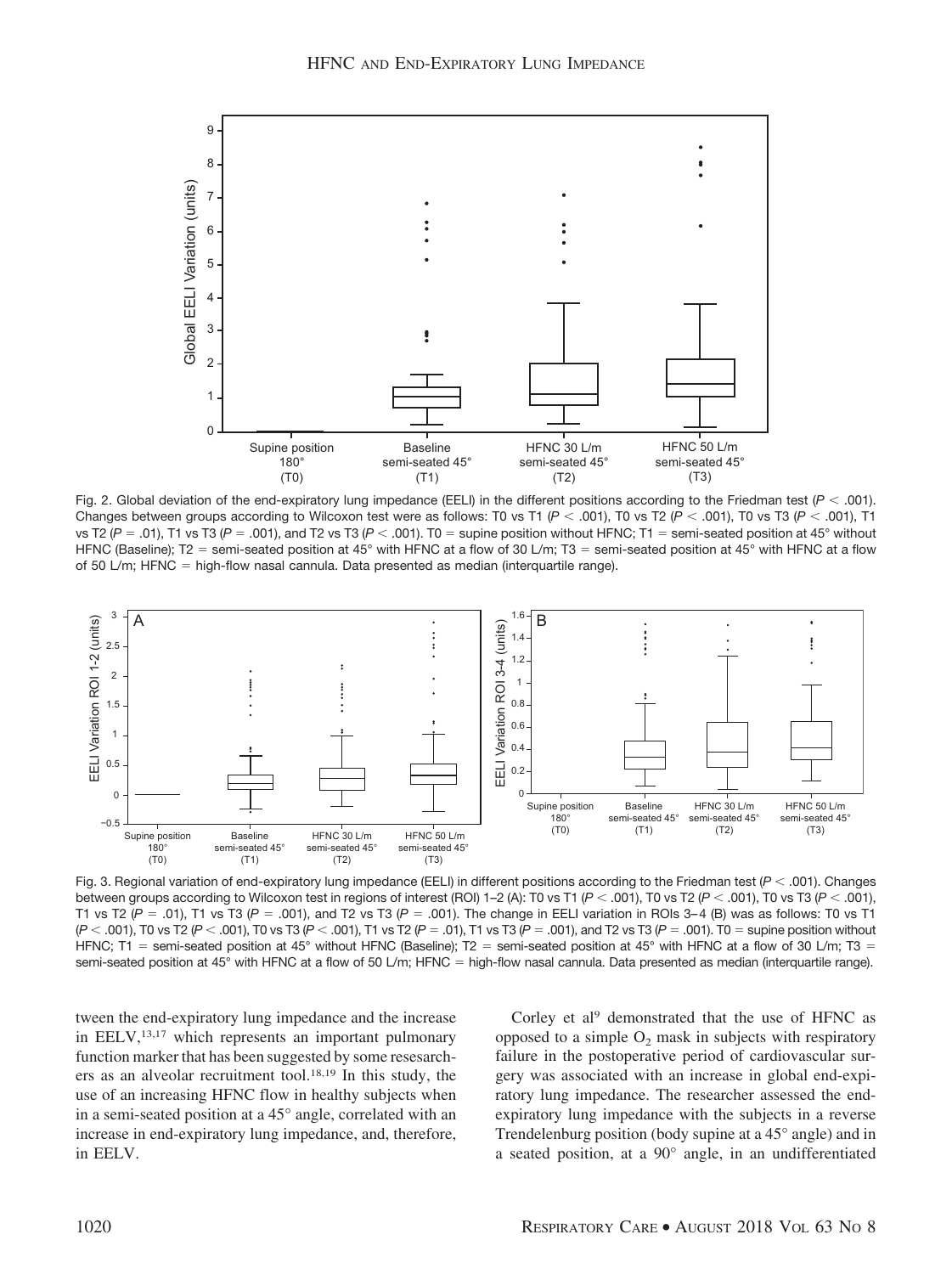

Fig. 2. Global deviation of the end-expiratory lung impedance (EELI) in the different positions according to the Friedman test ( $P < .001$ ). Changes between groups according to Wilcoxon test were as follows: T0 vs T1 ( $P < .001$ ), T0 vs T2 ( $P < .001$ ), T0 vs T3 ( $P < .001$ ), T1 vs T2 ( $P = .01$ ), T1 vs T3 ( $P = .001$ ), and T2 vs T3 ( $P < .001$ ). T0 = supine position without HFNC; T1 = semi-seated position at 45° without HFNC (Baseline); T2 = semi-seated position at 45° with HFNC at a flow of 30 L/m; T3 = semi-seated position at 45° with HFNC at a flow of 50 L/m; HFNC = high-flow nasal cannula. Data presented as median (interquartile range).



Fig. 3. Regional variation of end-expiratory lung impedance (EELI) in different positions according to the Friedman test (*P* .001). Changes between groups according to Wilcoxon test in regions of interest (ROI) 1–2 (A): T0 vs T1 (P < .001), T0 vs T2 (P < .001), T0 vs T3 (P < .001), T1 vs T2 (*P* = .01), T1 vs T3 (*P* = .001), and T2 vs T3 (*P* = .001). The change in EELI variation in ROIs 3–4 (B) was as follows: T0 vs T1 (*P* .001), T0 vs T2 (*P* .001), T0 vs T3 (*P* .001), T1 vs T2 (*P* .01), T1 vs T3 (*P* .001), and T2 vs T3 (*P* .001). T0 supine position without HFNC; T1 = semi-seated position at 45° without HFNC (Baseline); T2 = semi-seated position at 45° with HFNC at a flow of 30 L/m; T3 = semi-seated position at 45° with HFNC at a flow of 50 L/m; HFNC = high-flow nasal cannula. Data presented as median (interquartile range).

tween the end-expiratory lung impedance and the increase in EELV,<sup>13,17</sup> which represents an important pulmonary function marker that has been suggested by some resesarchers as an alveolar recruitment tool.18,19 In this study, the use of an increasing HFNC flow in healthy subjects when in a semi-seated position at a 45° angle, correlated with an increase in end-expiratory lung impedance, and, therefore, in EELV.

Corley et al<sup>9</sup> demonstrated that the use of HFNC as opposed to a simple  $O_2$  mask in subjects with respiratory failure in the postoperative period of cardiovascular surgery was associated with an increase in global end-expiratory lung impedance. The researcher assessed the endexpiratory lung impedance with the subjects in a reverse Trendelenburg position (body supine at a 45° angle) and in a seated position, at a 90° angle, in an undifferentiated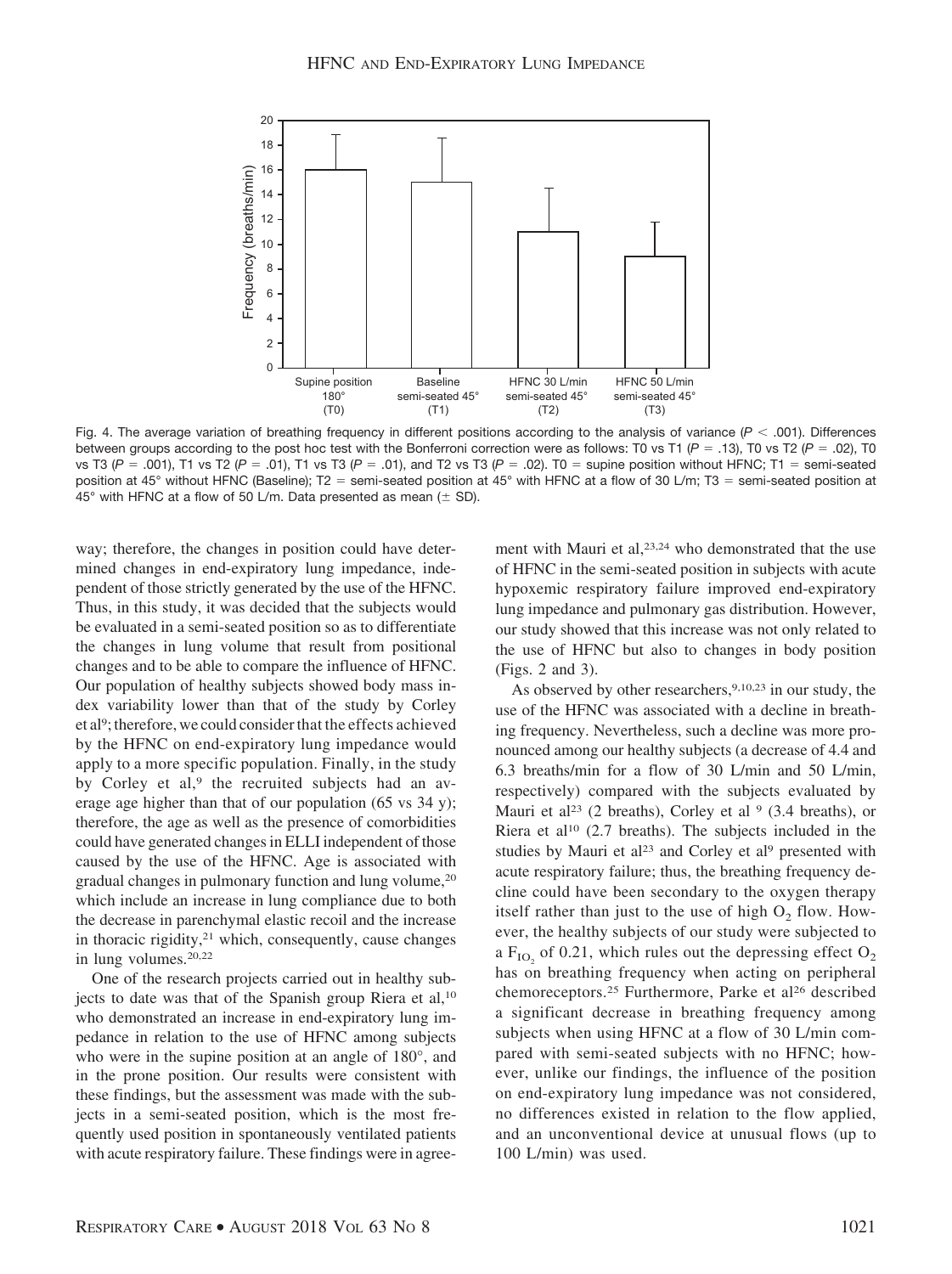

Fig. 4. The average variation of breathing frequency in different positions according to the analysis of variance  $(P < .001)$ . Differences between groups according to the post hoc test with the Bonferroni correction were as follows: T0 vs T1 ( $P = .13$ ), T0 vs T2 ( $P = .02$ ), T0 vs T3 (*P* .001), T1 vs T2 (*P* .01), T1 vs T3 (*P* .01), and T2 vs T3 (*P* .02). T0 supine position without HFNC; T1 semi-seated position at 45° without HFNC (Baseline); T2 = semi-seated position at 45° with HFNC at a flow of 30 L/m; T3 = semi-seated position at 45 $^{\circ}$  with HFNC at a flow of 50 L/m. Data presented as mean ( $\pm$  SD).

way; therefore, the changes in position could have determined changes in end-expiratory lung impedance, independent of those strictly generated by the use of the HFNC. Thus, in this study, it was decided that the subjects would be evaluated in a semi-seated position so as to differentiate the changes in lung volume that result from positional changes and to be able to compare the influence of HFNC. Our population of healthy subjects showed body mass index variability lower than that of the study by Corley et al<sup>9</sup>; therefore, we could consider that the effects achieved by the HFNC on end-expiratory lung impedance would apply to a more specific population. Finally, in the study by Corley et al,<sup>9</sup> the recruited subjects had an average age higher than that of our population (65 vs 34 y); therefore, the age as well as the presence of comorbidities could have generated changes in ELLI independent of those caused by the use of the HFNC. Age is associated with gradual changes in pulmonary function and lung volume,20 which include an increase in lung compliance due to both the decrease in parenchymal elastic recoil and the increase in thoracic rigidity,<sup>21</sup> which, consequently, cause changes in lung volumes.20,22

One of the research projects carried out in healthy subjects to date was that of the Spanish group Riera et al,<sup>10</sup> who demonstrated an increase in end-expiratory lung impedance in relation to the use of HFNC among subjects who were in the supine position at an angle of 180°, and in the prone position. Our results were consistent with these findings, but the assessment was made with the subjects in a semi-seated position, which is the most frequently used position in spontaneously ventilated patients with acute respiratory failure. These findings were in agreement with Mauri et al,<sup>23,24</sup> who demonstrated that the use of HFNC in the semi-seated position in subjects with acute hypoxemic respiratory failure improved end-expiratory lung impedance and pulmonary gas distribution. However, our study showed that this increase was not only related to the use of HFNC but also to changes in body position (Figs. 2 and 3).

As observed by other researchers,  $9,10,23$  in our study, the use of the HFNC was associated with a decline in breathing frequency. Nevertheless, such a decline was more pronounced among our healthy subjects (a decrease of 4.4 and 6.3 breaths/min for a flow of 30 L/min and 50 L/min, respectively) compared with the subjects evaluated by Mauri et al<sup>23</sup> (2 breaths), Corley et al  $9$  (3.4 breaths), or Riera et al10 (2.7 breaths). The subjects included in the studies by Mauri et al<sup>23</sup> and Corley et al<sup>9</sup> presented with acute respiratory failure; thus, the breathing frequency decline could have been secondary to the oxygen therapy itself rather than just to the use of high  $O_2$  flow. However, the healthy subjects of our study were subjected to a  $F_{IO_2}$  of 0.21, which rules out the depressing effect  $O_2$ has on breathing frequency when acting on peripheral chemoreceptors.<sup>25</sup> Furthermore, Parke et al<sup>26</sup> described a significant decrease in breathing frequency among subjects when using HFNC at a flow of 30 L/min compared with semi-seated subjects with no HFNC; however, unlike our findings, the influence of the position on end-expiratory lung impedance was not considered, no differences existed in relation to the flow applied, and an unconventional device at unusual flows (up to 100 L/min) was used.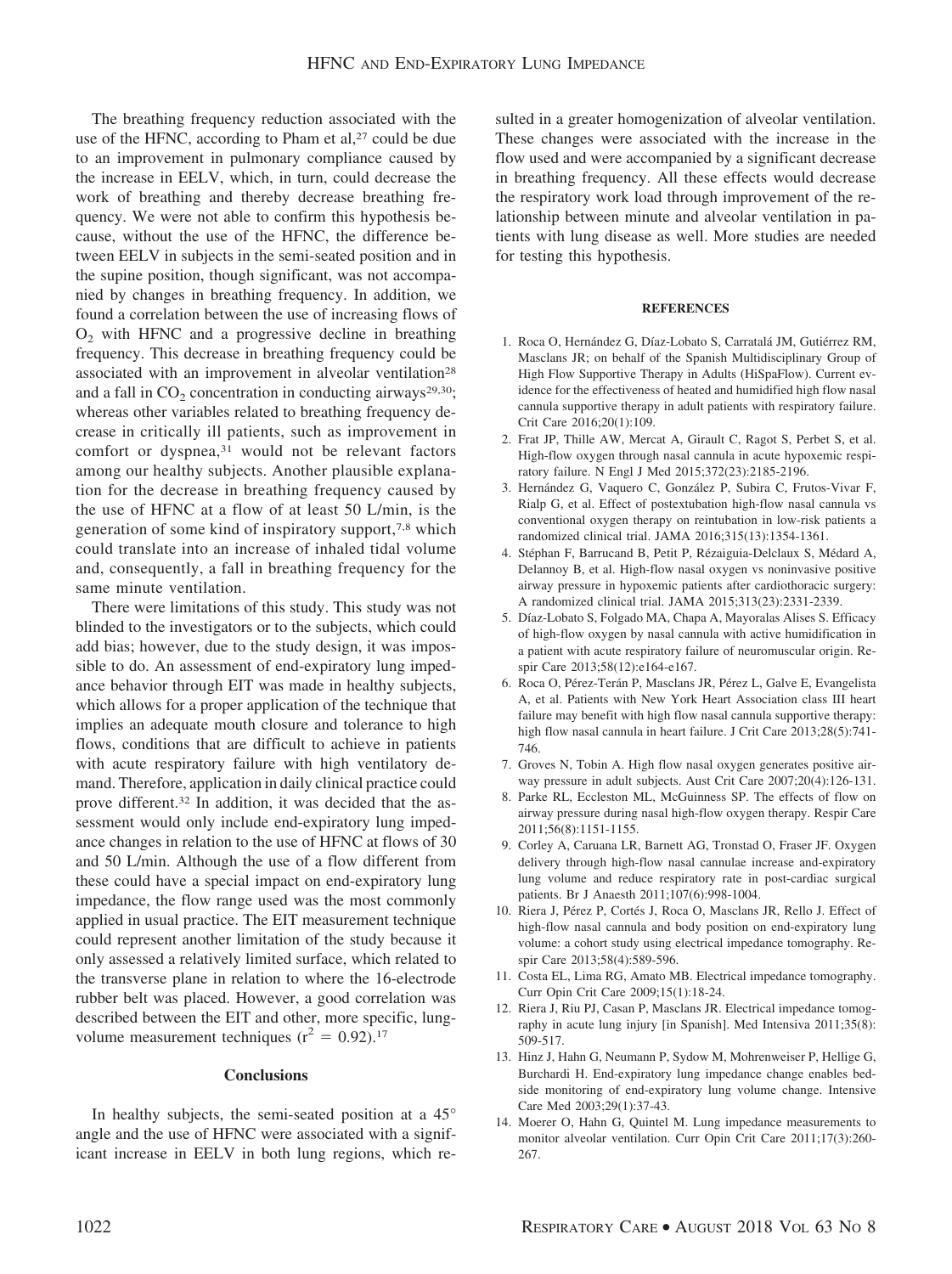The breathing frequency reduction associated with the use of the HFNC, according to Pham et al,<sup>27</sup> could be due to an improvement in pulmonary compliance caused by the increase in EELV, which, in turn, could decrease the work of breathing and thereby decrease breathing frequency. We were not able to confirm this hypothesis because, without the use of the HFNC, the difference between EELV in subjects in the semi-seated position and in the supine position, though significant, was not accompanied by changes in breathing frequency. In addition, we found a correlation between the use of increasing flows of  $O<sub>2</sub>$  with HFNC and a progressive decline in breathing frequency. This decrease in breathing frequency could be associated with an improvement in alveolar ventilation<sup>28</sup> and a fall in  $CO<sub>2</sub>$  concentration in conducting airways<sup>29,30</sup>; whereas other variables related to breathing frequency decrease in critically ill patients, such as improvement in comfort or dyspnea,<sup>31</sup> would not be relevant factors among our healthy subjects. Another plausible explanation for the decrease in breathing frequency caused by the use of HFNC at a flow of at least 50 L/min, is the generation of some kind of inspiratory support,7,8 which could translate into an increase of inhaled tidal volume and, consequently, a fall in breathing frequency for the same minute ventilation.

There were limitations of this study. This study was not blinded to the investigators or to the subjects, which could add bias; however, due to the study design, it was impossible to do. An assessment of end-expiratory lung impedance behavior through EIT was made in healthy subjects, which allows for a proper application of the technique that implies an adequate mouth closure and tolerance to high flows, conditions that are difficult to achieve in patients with acute respiratory failure with high ventilatory demand. Therefore, application in daily clinical practice could prove different.32 In addition, it was decided that the assessment would only include end-expiratory lung impedance changes in relation to the use of HFNC at flows of 30 and 50 L/min. Although the use of a flow different from these could have a special impact on end-expiratory lung impedance, the flow range used was the most commonly applied in usual practice. The EIT measurement technique could represent another limitation of the study because it only assessed a relatively limited surface, which related to the transverse plane in relation to where the 16-electrode rubber belt was placed. However, a good correlation was described between the EIT and other, more specific, lungvolume measurement techniques ( $r^2 = 0.92$ ).<sup>17</sup>

## **Conclusions**

In healthy subjects, the semi-seated position at a 45° angle and the use of HFNC were associated with a significant increase in EELV in both lung regions, which resulted in a greater homogenization of alveolar ventilation. These changes were associated with the increase in the flow used and were accompanied by a significant decrease in breathing frequency. All these effects would decrease the respiratory work load through improvement of the relationship between minute and alveolar ventilation in patients with lung disease as well. More studies are needed for testing this hypothesis.

#### **REFERENCES**

- 1. Roca O, Hernández G, Díaz-Lobato S, Carratalá JM, Gutiérrez RM, Masclans JR; on behalf of the Spanish Multidisciplinary Group of High Flow Supportive Therapy in Adults (HiSpaFlow). Current evidence for the effectiveness of heated and humidified high flow nasal cannula supportive therapy in adult patients with respiratory failure. Crit Care 2016;20(1):109.
- 2. Frat JP, Thille AW, Mercat A, Girault C, Ragot S, Perbet S, et al. High-flow oxygen through nasal cannula in acute hypoxemic respiratory failure. N Engl J Med 2015;372(23):2185-2196.
- 3. Hernández G, Vaquero C, González P, Subira C, Frutos-Vivar F, Rialp G, et al. Effect of postextubation high-flow nasal cannula vs conventional oxygen therapy on reintubation in low-risk patients a randomized clinical trial. JAMA 2016;315(13):1354-1361.
- 4. Stéphan F, Barrucand B, Petit P, Rézaiguia-Delclaux S, Médard A, Delannoy B, et al. High-flow nasal oxygen vs noninvasive positive airway pressure in hypoxemic patients after cardiothoracic surgery: A randomized clinical trial. JAMA 2015;313(23):2331-2339.
- 5. Díaz-Lobato S, Folgado MA, Chapa A, Mayoralas Alises S. Efficacy of high-flow oxygen by nasal cannula with active humidification in a patient with acute respiratory failure of neuromuscular origin. Respir Care 2013;58(12):e164-e167.
- 6. Roca O, Pérez-Terán P, Masclans JR, Pérez L, Galve E, Evangelista A, et al. Patients with New York Heart Association class III heart failure may benefit with high flow nasal cannula supportive therapy: high flow nasal cannula in heart failure. J Crit Care 2013;28(5):741- 746.
- 7. Groves N, Tobin A. High flow nasal oxygen generates positive airway pressure in adult subjects. Aust Crit Care 2007;20(4):126-131.
- 8. Parke RL, Eccleston ML, McGuinness SP. The effects of flow on airway pressure during nasal high-flow oxygen therapy. Respir Care 2011;56(8):1151-1155.
- 9. Corley A, Caruana LR, Barnett AG, Tronstad O, Fraser JF. Oxygen delivery through high-flow nasal cannulae increase and-expiratory lung volume and reduce respiratory rate in post-cardiac surgical patients. Br J Anaesth 2011;107(6):998-1004.
- 10. Riera J, Pérez P, Cortés J, Roca O, Masclans JR, Rello J. Effect of high-flow nasal cannula and body position on end-expiratory lung volume: a cohort study using electrical impedance tomography. Respir Care 2013;58(4):589-596.
- 11. Costa EL, Lima RG, Amato MB. Electrical impedance tomography. Curr Opin Crit Care 2009;15(1):18-24.
- 12. Riera J, Riu PJ, Casan P, Masclans JR. Electrical impedance tomography in acute lung injury [in Spanish]. Med Intensiva 2011;35(8): 509-517.
- 13. Hinz J, Hahn G, Neumann P, Sydow M, Mohrenweiser P, Hellige G, Burchardi H. End-expiratory lung impedance change enables bedside monitoring of end-expiratory lung volume change. Intensive Care Med 2003;29(1):37-43.
- 14. Moerer O, Hahn G, Quintel M. Lung impedance measurements to monitor alveolar ventilation. Curr Opin Crit Care 2011;17(3):260- 267.